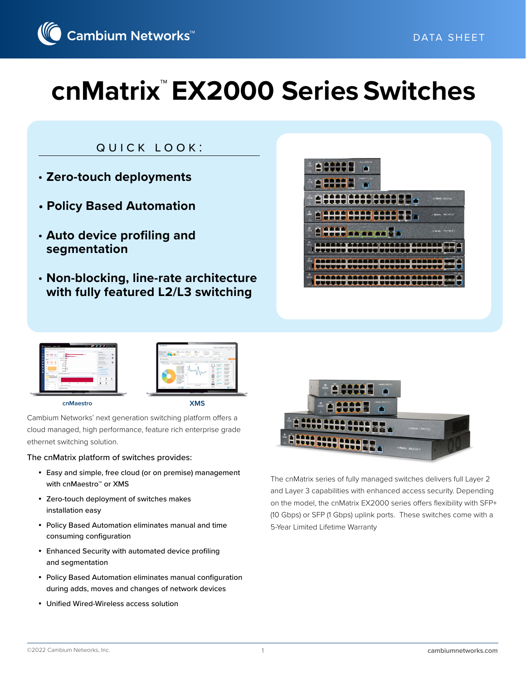

# quick look:

- **Zero-touch deployments**
- **Policy Based Automation**
- **Auto device profiling and segmentation**
- **Non-blocking, line-rate architecture with fully featured L2/L3 switching**





Cambium Networks' next generation switching platform offers a cloud managed, high performance, feature rich enterprise grade ethernet switching solution.

#### The cnMatrix platform of switches provides:

- Easy and simple, free cloud (or on premise) management with cnMaestro™ or XMS
- Zero-touch deployment of switches makes installation easy
- Policy Based Automation eliminates manual and time consuming configuration
- Enhanced Security with automated device profiling and segmentation
- Policy Based Automation eliminates manual configuration during adds, moves and changes of network devices
- Unified Wired-Wireless access solution



The cnMatrix series of fully managed switches delivers full Layer 2 and Layer 3 capabilities with enhanced access security. Depending on the model, the cnMatrix EX2000 series offers flexibility with SFP+ (10 Gbps) or SFP (1 Gbps) uplink ports. These switches come with a 5-Year Limited Lifetime Warranty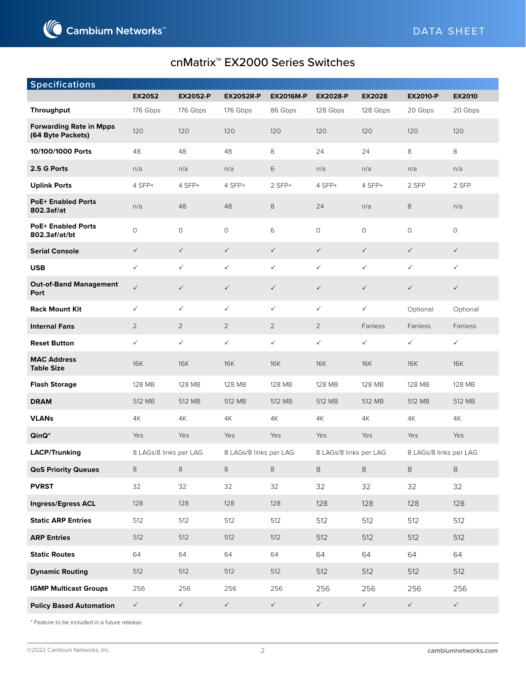

| <b>Specifications</b>                               |                        |                 |                        |                  |                        |               |                        |               |
|-----------------------------------------------------|------------------------|-----------------|------------------------|------------------|------------------------|---------------|------------------------|---------------|
|                                                     | <b>EX2052</b>          | <b>EX2052-P</b> | <b>EX2052R-P</b>       | <b>EX2016M-P</b> | <b>EX2028-P</b>        | <b>EX2028</b> | <b>EX2010-P</b>        | <b>EX2010</b> |
| <b>Throughput</b>                                   | 176 Gbps               | 176 Gbps        | 176 Gbps               | 86 Gbps          | 128 Gbps               | 128 Gbps      | 20 Gbps                | 20 Gbps       |
| <b>Forwarding Rate in Mpps</b><br>(64 Byte Packets) | 120                    | 120             | 120                    | 120              | 120                    | 120           | 120                    | 120           |
| 10/100/1000 Ports                                   | 48                     | 48              | 48                     | 8                | 24                     | 24            | 8                      | 8             |
| 2.5 G Ports                                         | n/a                    | n/a             | n/a                    | $\,$ 6           | n/a                    | n/a           | n/a                    | n/a           |
| <b>Uplink Ports</b>                                 | 4 SFP+                 | 4 SFP+          | 4 SFP+                 | 2 SFP+           | 4 SFP+                 | 4 SFP+        | 2 SFP                  | 2 SFP         |
| <b>PoE+ Enabled Ports</b><br>802.3af/at             | n/a                    | 48              | 48                     | 8                | 24                     | n/a           | 8                      | n/a           |
| <b>PoE+ Enabled Ports</b><br>802.3af/at/bt          | $\circ$                | $\circ$         | $\circ$                | 6                | $\circ$                | $\circ$       | $\circ$                | $\circ$       |
| <b>Serial Console</b>                               | $\checkmark$           | $\checkmark$    | $\checkmark$           | $\checkmark$     | $\checkmark$           | $\checkmark$  | $\checkmark$           | $\checkmark$  |
| <b>USB</b>                                          | $\checkmark$           | $\checkmark$    | $\checkmark$           | $\checkmark$     | $\checkmark$           | $\checkmark$  | $\checkmark$           | $\checkmark$  |
| <b>Out-of-Band Management</b><br>Port               | $\checkmark$           | $\checkmark$    | $\checkmark$           | $\checkmark$     | $\checkmark$           | $\checkmark$  | $\checkmark$           | $\checkmark$  |
| <b>Rack Mount Kit</b>                               | $\checkmark$           | $\checkmark$    | $\checkmark$           | $\checkmark$     | $\checkmark$           | $\checkmark$  | Optional               | Optional      |
| <b>Internal Fans</b>                                | $\overline{2}$         | $\overline{2}$  | $\overline{2}$         | $\overline{2}$   | $\overline{2}$         | Fanless       | Fanless                | Fanless       |
| <b>Reset Button</b>                                 | $\checkmark$           | $\checkmark$    | $\checkmark$           | $\checkmark$     | $\checkmark$           | $\checkmark$  | $\checkmark$           | $\checkmark$  |
| <b>MAC Address</b><br><b>Table Size</b>             | <b>16K</b>             | <b>16K</b>      | <b>16K</b>             | <b>16K</b>       | <b>16K</b>             | <b>16K</b>    | <b>16K</b>             | <b>16K</b>    |
| <b>Flash Storage</b>                                | 128 MB                 | 128 MB          | 128 MB                 | 128 MB           | 128 MB                 | 128 MB        | 128 MB                 | 128 MB        |
| <b>DRAM</b>                                         | 512 MB                 | 512 MB          | 512 MB                 | 512 MB           | 512 MB                 | 512 MB        | 512 MB                 | 512 MB        |
| <b>VLANs</b>                                        | 4K                     | 4K              | 4K                     | 4K               | 4K                     | 4K            | 4K                     | 4K            |
| $QinQ^*$                                            | Yes                    | Yes             | Yes                    | Yes              | Yes                    | Yes           | Yes                    | Yes           |
| <b>LACP/Trunking</b>                                | 8 LAGs/8 links per LAG |                 | 8 LAGs/8 links per LAG |                  | 8 LAGs/8 links per LAG |               | 8 LAGs/8 links per LAG |               |
| <b>QoS Priority Queues</b>                          | 8                      | $\,8\,$         | 8                      | 8                | 8                      | 8             | 8                      | 8             |
| <b>PVRST</b>                                        | 32                     | 32              | 32                     | 32               | 32                     | 32            | 32                     | 32            |
| Ingress/Egress ACL                                  | 128                    | 128             | 128                    | 128              | 128                    | 128           | 128                    | 128           |
| <b>Static ARP Entries</b>                           | 512                    | 512             | 512                    | 512              | 512                    | 512           | 512                    | 512           |
| <b>ARP Entries</b>                                  | 512                    | 512             | 512                    | 512              | 512                    | 512           | 512                    | 512           |
| <b>Static Routes</b>                                | 64                     | 64              | 64                     | 64               | 64                     | 64            | 64                     | 64            |
| <b>Dynamic Routing</b>                              | 512                    | 512             | 512                    | 512              | 512                    | 512           | 512                    | 512           |
| <b>IGMP Multicast Groups</b>                        | 256                    | 256             | 256                    | 256              | 256                    | 256           | 256                    | 256           |
| <b>Policy Based Automation</b>                      | $\checkmark$           | $\checkmark$    | $\checkmark$           | $\checkmark$     | $\checkmark$           | $\checkmark$  | $\checkmark$           | $\checkmark$  |

\* Feature to be included in a future release.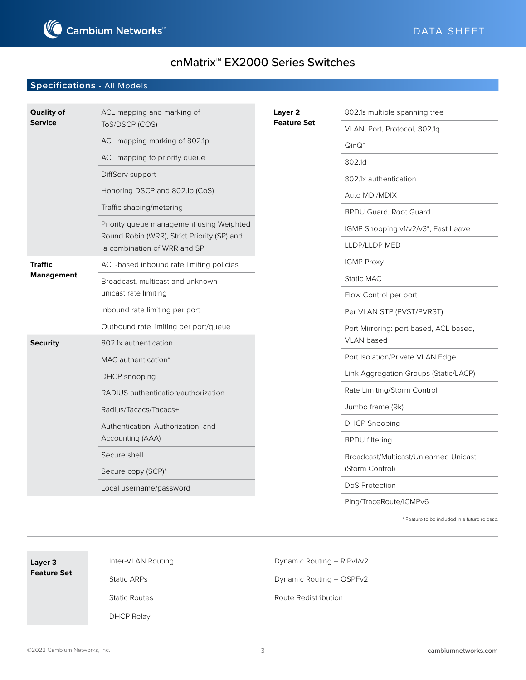

#### **Specifications** - All Models

| <b>Quality of</b>                   | ACL mapping and marking of                                                 | Layer 2            | 802.1s multiple spanning tree          |
|-------------------------------------|----------------------------------------------------------------------------|--------------------|----------------------------------------|
| <b>Service</b>                      | ToS/DSCP (COS)                                                             | <b>Feature Set</b> | VLAN, Port, Protocol, 802.1q           |
|                                     | ACL mapping marking of 802.1p                                              | $QinQ^*$           |                                        |
|                                     | ACL mapping to priority queue                                              |                    | 802.1d                                 |
|                                     | DiffServ support                                                           |                    | 802.1x authentication                  |
|                                     | Honoring DSCP and 802.1p (CoS)                                             |                    | Auto MDI/MDIX                          |
|                                     | Traffic shaping/metering                                                   |                    | <b>BPDU Guard, Root Guard</b>          |
|                                     | Priority queue management using Weighted                                   |                    | IGMP Snooping v1/v2/v3*, Fast Leave    |
|                                     | Round Robin (WRR), Strict Priority (SP) and<br>a combination of WRR and SP |                    | LLDP/LLDP MED                          |
| <b>Traffic</b><br><b>Management</b> | ACL-based inbound rate limiting policies                                   |                    | <b>IGMP Proxy</b>                      |
|                                     | Broadcast, multicast and unknown                                           |                    | Static MAC                             |
|                                     | unicast rate limiting                                                      |                    | Flow Control per port                  |
|                                     | Inbound rate limiting per port                                             |                    | Per VLAN STP (PVST/PVRST)              |
|                                     | Outbound rate limiting per port/queue                                      |                    | Port Mirroring: port based, ACL based, |
| <b>Security</b>                     | 802.1x authentication                                                      |                    | VLAN based                             |
|                                     | MAC authentication*                                                        |                    | Port Isolation/Private VLAN Edge       |
|                                     | DHCP snooping                                                              |                    | Link Aggregation Groups (Static/LACP)  |
|                                     | RADIUS authentication/authorization                                        |                    | Rate Limiting/Storm Control            |
|                                     | Radius/Tacacs/Tacacs+                                                      |                    | Jumbo frame (9k)                       |
|                                     | Authentication, Authorization, and                                         |                    | <b>DHCP Snooping</b>                   |
|                                     | Accounting (AAA)                                                           |                    | <b>BPDU</b> filtering                  |
|                                     | Secure shell                                                               |                    | Broadcast/Multicast/Unlearned Unicast  |
|                                     | Secure copy (SCP)*                                                         |                    | (Storm Control)                        |
|                                     | Local username/password                                                    |                    | DoS Protection                         |
|                                     |                                                                            |                    | Ping/TraceRoute/ICMPv6                 |

\* Feature to be included in a future release.

| Layer 3<br><b>Feature Set</b> | Inter-VLAN Routing   | Dynamic Routing - RIPv1/v2 |  |  |
|-------------------------------|----------------------|----------------------------|--|--|
|                               | <b>Static ARPs</b>   | Dynamic Routing - OSPFv2   |  |  |
|                               | <b>Static Routes</b> | Route Redistribution       |  |  |
|                               | DHCP Relay           |                            |  |  |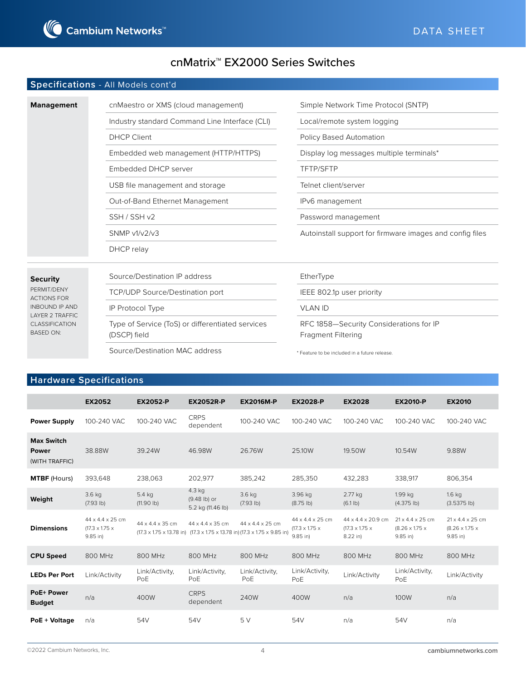

#### **Specifications** - All Models cont'd

| <b>Management</b>                 | cnMaestro or XMS (cloud management)            | Simple Network Time Protocol (SNTP)                                                                                                                                                                                                |  |  |
|-----------------------------------|------------------------------------------------|------------------------------------------------------------------------------------------------------------------------------------------------------------------------------------------------------------------------------------|--|--|
|                                   | Industry standard Command Line Interface (CLI) | Local/remote system logging                                                                                                                                                                                                        |  |  |
|                                   | <b>DHCP Client</b>                             | Policy Based Automation<br>Display log messages multiple terminals*<br><b>TFTP/SFTP</b><br>Telnet client/server<br>IP <sub>v</sub> 6 management<br>Password management<br>Autoinstall support for firmware images and config files |  |  |
|                                   | Embedded web management (HTTP/HTTPS)           |                                                                                                                                                                                                                                    |  |  |
|                                   | Embedded DHCP server                           |                                                                                                                                                                                                                                    |  |  |
|                                   | USB file management and storage                |                                                                                                                                                                                                                                    |  |  |
|                                   | Out-of-Band Ethernet Management                |                                                                                                                                                                                                                                    |  |  |
|                                   | SSH / SSH v2                                   |                                                                                                                                                                                                                                    |  |  |
|                                   | <b>SNMP v1/v2/v3</b>                           |                                                                                                                                                                                                                                    |  |  |
|                                   | DHCP relay                                     |                                                                                                                                                                                                                                    |  |  |
|                                   |                                                |                                                                                                                                                                                                                                    |  |  |
| <b>Security</b>                   | Source/Destination IP address                  | EtherType                                                                                                                                                                                                                          |  |  |
| PFRMIT/DFNY<br><b>ACTIONS FOR</b> | <b>TCP/UDP Source/Destination port</b>         | IEEE 802.1p user priority                                                                                                                                                                                                          |  |  |

VLAN ID

RFC 1858—Security Considerations for IP Fragment Filtering

\* Feature to be included in a future release.

#### **Hardware Specifications**

IP Protocol Type

(DSCP) field

Type of Service (ToS) or differentiated services

Source/Destination MAC address

INBOUND IP AND LAYER 2 TRAFFIC CLASSIFICATION BASED ON:

|                                                     | <b>EX2052</b>                                                            | <b>EX2052-P</b>              | <b>EX2052R-P</b>                                                                                                                                          | <b>EX2016M-P</b>             | <b>EX2028-P</b>                                              | <b>EX2028</b>                                                            | <b>EX2010-P</b>                                                          | <b>EX2010</b>                                                            |
|-----------------------------------------------------|--------------------------------------------------------------------------|------------------------------|-----------------------------------------------------------------------------------------------------------------------------------------------------------|------------------------------|--------------------------------------------------------------|--------------------------------------------------------------------------|--------------------------------------------------------------------------|--------------------------------------------------------------------------|
| <b>Power Supply</b>                                 | 100-240 VAC                                                              | 100-240 VAC                  | <b>CRPS</b><br>dependent                                                                                                                                  | 100-240 VAC                  | 100-240 VAC                                                  | 100-240 VAC                                                              | 100-240 VAC                                                              | 100-240 VAC                                                              |
| <b>Max Switch</b><br><b>Power</b><br>(WITH TRAFFIC) | 38,88W                                                                   | 39.24W                       | 46.98W                                                                                                                                                    | 26,76W                       | 25,10W                                                       | 19.50W                                                                   | 10.54W                                                                   | 9.88W                                                                    |
| <b>MTBF</b> (Hours)                                 | 393,648                                                                  | 238,063                      | 202,977                                                                                                                                                   | 385,242                      | 285,350                                                      | 432,283                                                                  | 338,917                                                                  | 806,354                                                                  |
| Weight                                              | $3.6$ kg<br>(7.93 lb)                                                    | 5.4 kg<br>$(11.90$ lb)       | 4.3 kg<br>(9.48 lb) or<br>5.2 kg (11.46 lb)                                                                                                               | $3.6$ kg<br>(7.93 lb)        | 3.96 kg<br>$(8.75$ lb)                                       | 2.77 kg<br>(6.1 lb)                                                      | $1.99$ kg<br>$(4.375$ lb)                                                | $1.6$ kg<br>$(3.5375$ lb)                                                |
| <b>Dimensions</b>                                   | $44 \times 4.4 \times 25$ cm<br>$(17.3 \times 1.75 \times$<br>$9.85$ in) | $44 \times 4.4 \times 35$ cm | 44 x 4.4 x 35 cm<br>$(17.3 \times 1.75 \times 13.78 \text{ in})$ $(17.3 \times 1.75 \times 13.78 \text{ in})$ $(17.3 \times 1.75 \times 9.85 \text{ in})$ | $44 \times 4.4 \times 25$ cm | 44 x 4.4 x 25 cm<br>$(17.3 \times 1.75 \times$<br>$9.85$ in) | $44 \times 4.4 \times 20.9$ cm<br>$(17.3 \times 1.75 \times$<br>8.22 in) | $21 \times 4.4 \times 25$ cm<br>$(8.26 \times 1.75 \times$<br>$9.85$ in) | $21 \times 4.4 \times 25$ cm<br>$(8.26 \times 1.75 \times$<br>$9.85$ in) |
| <b>CPU Speed</b>                                    | 800 MHz                                                                  | 800 MHz                      | 800 MHz                                                                                                                                                   | 800 MHz                      | 800 MHz                                                      | 800 MHz                                                                  | 800 MHz                                                                  | 800 MHz                                                                  |
| <b>LEDs Per Port</b>                                | Link/Activity                                                            | Link/Activity,<br>PoE        | Link/Activity,<br>PoE                                                                                                                                     | Link/Activity,<br>PoE        | Link/Activity,<br>PoE                                        | Link/Activity                                                            | Link/Activity,<br>PoE                                                    | Link/Activity                                                            |
| <b>PoE+ Power</b><br><b>Budget</b>                  | n/a                                                                      | 400W                         | <b>CRPS</b><br>dependent                                                                                                                                  | 240W                         | 400W                                                         | n/a                                                                      | 100W                                                                     | n/a                                                                      |
| PoE + Voltage                                       | n/a                                                                      | 54V                          | 54V                                                                                                                                                       | 5V                           | 54V                                                          | n/a                                                                      | 54V                                                                      | n/a                                                                      |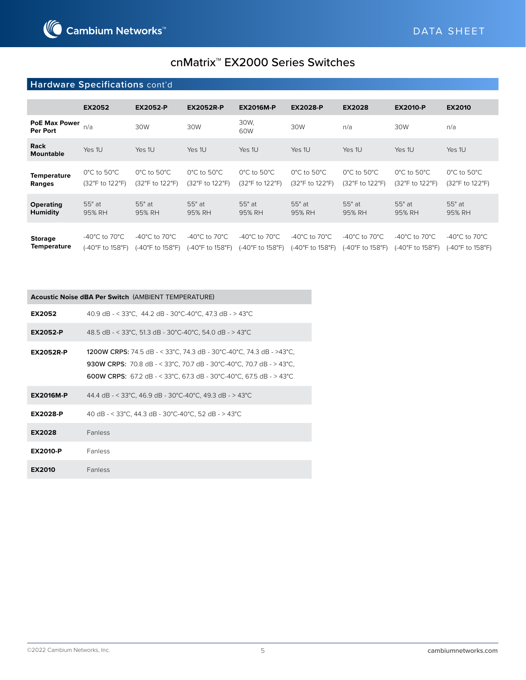### **Hardware Specifications** cont'd

|                                      | <b>EX2052</b>                                           | <b>EX2052-P</b>                                     | <b>EX2052R-P</b>                                         | <b>EX2016M-P</b>                                   | <b>EX2028-P</b>                                         | <b>EX2028</b>                                           | <b>EX2010-P</b>                                         | <b>EX2010</b>                                           |
|--------------------------------------|---------------------------------------------------------|-----------------------------------------------------|----------------------------------------------------------|----------------------------------------------------|---------------------------------------------------------|---------------------------------------------------------|---------------------------------------------------------|---------------------------------------------------------|
| <b>PoE Max Power</b><br>Per Port     | n/a                                                     | 30W                                                 | 30W                                                      | 30W.<br>60W                                        | 30W                                                     | n/a                                                     | 30W                                                     | n/a                                                     |
| <b>Rack</b><br><b>Mountable</b>      | Yes 1U                                                  | Yes 1U                                              | Yes 1U                                                   | Yes 1U                                             | Yes 1U                                                  | Yes 1U                                                  | Yes 1U                                                  | Yes 1U                                                  |
| <b>Temperature</b><br>Ranges         | $0^{\circ}$ C to 50 $^{\circ}$ C<br>(32°F to 122°F)     | $0^{\circ}$ C to 50 $^{\circ}$ C<br>(32°F to 122°F) | $0^{\circ}$ C to 50 $^{\circ}$ C<br>(32°F to 122°F)      | $0^{\circ}$ C to $50^{\circ}$ C<br>(32°F to 122°F) | $0^{\circ}$ C to 50 $^{\circ}$ C<br>(32°F to 122°F)     | $0^{\circ}$ C to 50 $^{\circ}$ C<br>(32°F to 122°F)     | $0^{\circ}$ C to $50^{\circ}$ C<br>(32°F to 122°F)      | $0^{\circ}$ C to 50 $^{\circ}$ C<br>(32°F to 122°F)     |
| <b>Operating</b><br><b>Humidity</b>  | $55^\circ$ at<br>95% RH                                 | $55^\circ$ at<br>95% RH                             | $55^\circ$ at<br>95% RH                                  | $55^\circ$ at<br>95% RH                            | $55^\circ$ at<br>95% RH                                 | $55^\circ$ at<br>95% RH                                 | $55^\circ$ at<br>95% RH                                 | $55^\circ$ at<br>95% RH                                 |
| <b>Storage</b><br><b>Temperature</b> | -40 $^{\circ}$ C to 70 $^{\circ}$ C<br>(-40°F to 158°F) | -40°C to 70°C<br>(-40°F to 158°F)                   | -40 $^{\circ}$ C to 70 $^{\circ}$ C<br>(-40°F to 158°F). | -40°C to 70°C<br>(-40°F to 158°F)                  | -40 $^{\circ}$ C to 70 $^{\circ}$ C<br>(-40°F to 158°F) | -40 $^{\circ}$ C to 70 $^{\circ}$ C<br>(-40°F to 158°F) | -40 $^{\circ}$ C to 70 $^{\circ}$ C<br>(-40°F to 158°F) | -40 $^{\circ}$ C to 70 $^{\circ}$ C<br>(-40°F to 158°F) |

#### **Acoustic Noise dBA Per Switch** (AMBIENT TEMPERATURE)

| EX2052           | 40.9 dB - < 33°C, 44.2 dB - 30°C-40°C, 47.3 dB - > 43°C                                                                                                                                                                        |
|------------------|--------------------------------------------------------------------------------------------------------------------------------------------------------------------------------------------------------------------------------|
| <b>EX2052-P</b>  | 48.5 dB - < 33°C, 51.3 dB - 30°C-40°C, 54.0 dB - > 43°C                                                                                                                                                                        |
| <b>EX2052R-P</b> | 1200W CRPS: 74.5 dB - < 33°C, 74.3 dB - 30°C-40°C, 74.3 dB - >43°C,<br><b>930W CRPS:</b> 70.8 dB - < 33°C, 70.7 dB - 30°C-40°C, 70.7 dB - > 43°C,<br><b>600W CRPS:</b> 67.2 dB - < 33°C, 67.3 dB - 30°C-40°C, 67.5 dB - > 43°C |
| <b>EX2016M-P</b> | 44.4 dB - < 33°C, 46.9 dB - 30°C-40°C, 49.3 dB - > 43°C                                                                                                                                                                        |
| <b>EX2028-P</b>  | 40 dB - < 33°C, 44.3 dB - 30°C-40°C, 52 dB - > 43°C                                                                                                                                                                            |
| EX2028           | <b>Fanless</b>                                                                                                                                                                                                                 |
| <b>EX2010-P</b>  | <b>Fanless</b>                                                                                                                                                                                                                 |
| EX2010           | <b>Fanless</b>                                                                                                                                                                                                                 |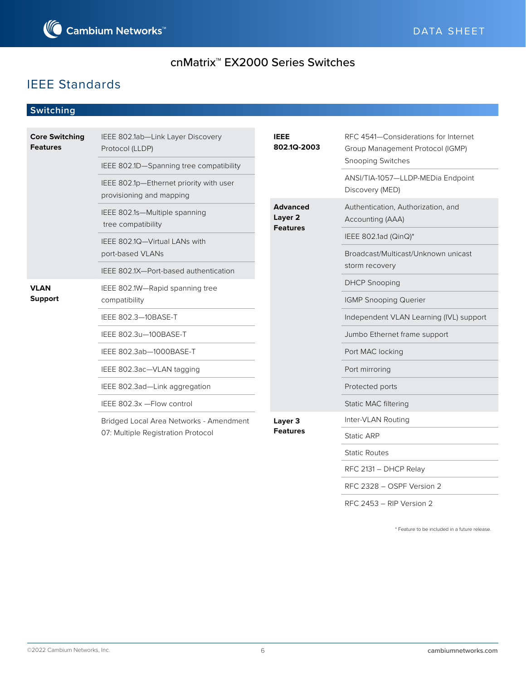

# IEEE Standards

### **Switching**

| <b>Core Switching</b><br><b>Features</b> | IEEE 802.1ab-Link Layer Discovery<br>Protocol (LLDP)                | <b>IEEE</b><br>802.1Q-2003                               | RFC 4541-Considerations for Internet<br>Group Management Protocol (IGMP) |  |
|------------------------------------------|---------------------------------------------------------------------|----------------------------------------------------------|--------------------------------------------------------------------------|--|
|                                          | IEEE 802.1D-Spanning tree compatibility                             |                                                          | Snooping Switches                                                        |  |
|                                          | IEEE 802.1p-Ethernet priority with user<br>provisioning and mapping |                                                          | ANSI/TIA-1057-LLDP-MEDia Endpoint<br>Discovery (MED)                     |  |
|                                          | IEEE 802.1s-Multiple spanning<br>tree compatibility                 | <b>Advanced</b><br>Layer <sub>2</sub><br><b>Features</b> | Authentication, Authorization, and<br>Accounting (AAA)                   |  |
|                                          | IEEE 802.1Q-Virtual LANs with                                       |                                                          | IEEE 802.1ad (QinQ)*                                                     |  |
|                                          | port-based VLANs                                                    |                                                          | Broadcast/Multicast/Unknown unicast                                      |  |
|                                          | IEEE 802.1X-Port-based authentication                               |                                                          | storm recovery                                                           |  |
| <b>VLAN</b><br><b>Support</b>            | IEEE 802.1W-Rapid spanning tree                                     |                                                          | <b>DHCP Snooping</b>                                                     |  |
|                                          | compatibility                                                       |                                                          | <b>IGMP Snooping Querier</b>                                             |  |
|                                          | IEEE 802.3-10BASE-T                                                 |                                                          | Independent VLAN Learning (IVL) support                                  |  |
|                                          | IEEE 802.3u-100BASE-T                                               |                                                          | Jumbo Ethernet frame support                                             |  |
|                                          | IEEE 802.3ab-1000BASE-T                                             |                                                          | Port MAC locking                                                         |  |
|                                          | IEEE 802.3ac-VLAN tagging                                           |                                                          | Port mirroring                                                           |  |
|                                          | IEEE 802.3ad-Link aggregation                                       |                                                          | Protected ports                                                          |  |
|                                          | IEEE 802.3x - Flow control                                          |                                                          | Static MAC filtering                                                     |  |
|                                          | Bridged Local Area Networks - Amendment                             | Layer 3                                                  | Inter-VLAN Routing                                                       |  |
|                                          | 07: Multiple Registration Protocol                                  | <b>Features</b>                                          | Static ARP                                                               |  |
|                                          |                                                                     |                                                          | <b>Static Routes</b>                                                     |  |
|                                          |                                                                     |                                                          | RFC 2131 - DHCP Relay                                                    |  |
|                                          |                                                                     |                                                          | RFC 2328 - OSPF Version 2                                                |  |

\* Feature to be included in a future release.

RFC 2453 – RIP Version 2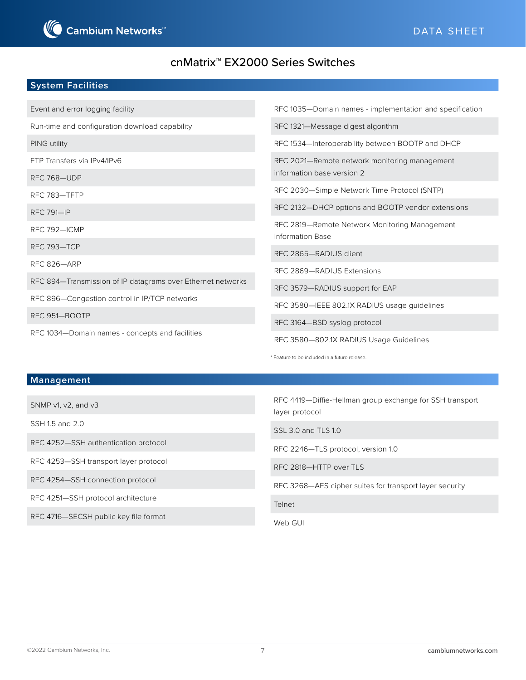#### **System Facilities**

| Event and error logging facility                            | RFC 1035-Domain names - implementation and specification          |  |  |
|-------------------------------------------------------------|-------------------------------------------------------------------|--|--|
| Run-time and configuration download capability              | RFC 1321-Message digest algorithm                                 |  |  |
| PING utility                                                | RFC 1534-Interoperability between BOOTP and DHCP                  |  |  |
| FTP Transfers via IPv4/IPv6                                 | RFC 2021-Remote network monitoring management                     |  |  |
| RFC 768-UDP                                                 | information base version 2                                        |  |  |
| RFC 783-TFTP                                                | RFC 2030-Simple Network Time Protocol (SNTP)                      |  |  |
| <b>RFC 791-IP</b>                                           | RFC 2132-DHCP options and BOOTP vendor extensions                 |  |  |
| RFC 792-ICMP                                                | RFC 2819-Remote Network Monitoring Management<br>Information Base |  |  |
| RFC 793-TCP                                                 | RFC 2865-RADIUS client                                            |  |  |
| <b>RFC 826-ARP</b>                                          | RFC 2869-RADIUS Extensions                                        |  |  |
| RFC 894-Transmission of IP datagrams over Ethernet networks |                                                                   |  |  |
| RFC 896-Congestion control in IP/TCP networks               | RFC 3579-RADIUS support for EAP                                   |  |  |
|                                                             | RFC 3580-IEEE 802.1X RADIUS usage guidelines                      |  |  |
| RFC 951-BOOTP                                               | RFC 3164-BSD syslog protocol                                      |  |  |
| RFC 1034-Domain names - concepts and facilities             | RFC 3580-802.1X RADIUS Usage Guidelines                           |  |  |

#### **Management**

SNMP v1, v2, and v3

SSH 1.5 and 2.0

RFC 4252—SSH authentication protocol

RFC 4253—SSH transport layer protocol

RFC 4254—SSH connection protocol

RFC 4251—SSH protocol architecture

RFC 4716—SECSH public key file format

RFC 4419—Diffie-Hellman group exchange for SSH transport layer protocol

SSL 3.0 and TLS 1.0

RFC 2246—TLS protocol, version 1.0

RFC 2818—HTTP over TLS

\* Feature to be included in a future release.

RFC 3268—AES cipher suites for transport layer security

Telnet

Web GUI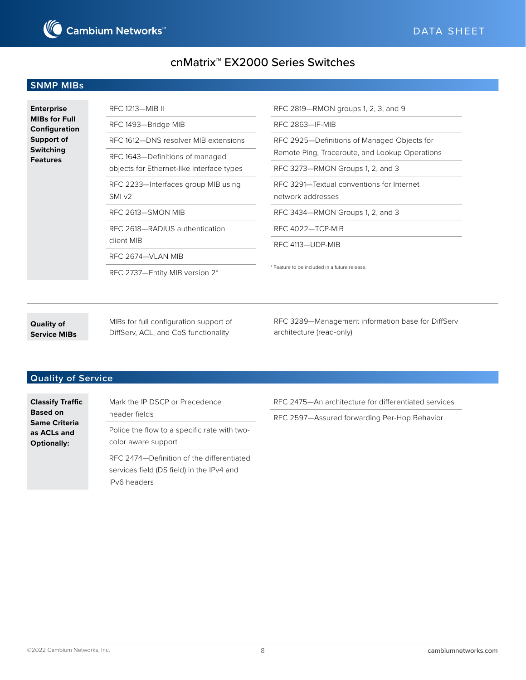

#### **SNMP MIBs**

| <b>Enterprise</b><br><b>MIBs for Full</b><br>Configuration | RFC 1213-MIB II                           | RFC 2819-RMON groups 1, 2, 3, and 9            |  |  |
|------------------------------------------------------------|-------------------------------------------|------------------------------------------------|--|--|
|                                                            | RFC 1493-Bridge MIB                       | RFC 2863-IF-MIB                                |  |  |
| Support of                                                 | RFC 1612-DNS resolver MIB extensions      | RFC 2925-Definitions of Managed Objects for    |  |  |
| <b>Switching</b><br><b>Features</b>                        | RFC 1643-Definitions of managed           | Remote Ping, Traceroute, and Lookup Operations |  |  |
|                                                            | objects for Ethernet-like interface types | RFC 3273-RMON Groups 1, 2, and 3               |  |  |
|                                                            | RFC 2233-Interfaces group MIB using       | RFC 3291-Textual conventions for Internet      |  |  |
|                                                            | SMIv2                                     | network addresses                              |  |  |
|                                                            | RFC 2613-SMON MIB                         | RFC 3434-RMON Groups 1, 2, and 3               |  |  |
|                                                            | RFC 2618-RADIUS authentication            | RFC 4022-TCP-MIB                               |  |  |
|                                                            | client MIB                                | RFC 4113-UDP-MIB                               |  |  |
|                                                            | RFC 2674-VLAN MIB                         |                                                |  |  |
|                                                            | RFC 2737-Entity MIB version 2*            | * Feature to be included in a future release.  |  |  |

**Quality of Service MIBs** MIBs for full configuration support of DiffServ, ACL, and CoS functionality

RFC 3289—Management information base for DiffServ architecture (read-only)

### **Quality of Service**

**Classify Traffic Based on Same Criteria as ACLs and Optionally:**

Mark the IP DSCP or Precedence header fields Police the flow to a specific rate with twocolor aware support

RFC 2474—Definition of the differentiated services field (DS field) in the IPv4 and IPv6 headers

RFC 2475—An architecture for differentiated services

RFC 2597—Assured forwarding Per-Hop Behavior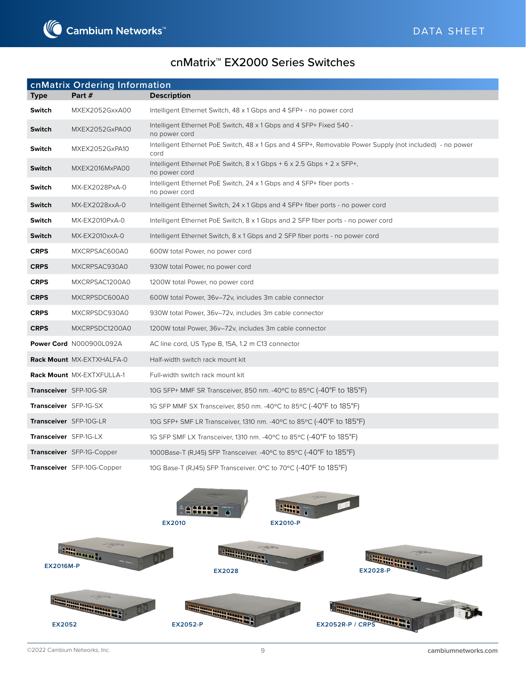

|                       | cnMatrix Ordering Information     |                                                                                                                  |
|-----------------------|-----------------------------------|------------------------------------------------------------------------------------------------------------------|
| <b>Type</b>           | Part #                            | <b>Description</b>                                                                                               |
| <b>Switch</b>         | MXEX2052GxxA00                    | Intelligent Ethernet Switch, 48 x 1 Gbps and 4 SFP+ - no power cord                                              |
| <b>Switch</b>         | MXEX2052GxPA00                    | Intelligent Ethernet PoE Switch, 48 x 1 Gbps and 4 SFP+ Fixed 540 -<br>no power cord                             |
| <b>Switch</b>         | MXEX2052GxPA10                    | Intelligent Ethernet PoE Switch, 48 x 1 Gps and 4 SFP+, Removable Power Supply (not included) - no power<br>cord |
| Switch                | MXEX2016MxPA00                    | Intelligent Ethernet PoE Switch, $8 \times 1$ Gbps + 6 $\times$ 2.5 Gbps + 2 $\times$ SFP+,<br>no power cord     |
| <b>Switch</b>         | MX-EX2028PxA-0                    | Intelligent Ethernet PoE Switch, 24 x 1 Gbps and 4 SFP+ fiber ports -<br>no power cord                           |
| <b>Switch</b>         | MX-EX2028xxA-0                    | Intelligent Ethernet Switch, 24 x 1 Gbps and 4 SFP+ fiber ports - no power cord                                  |
| <b>Switch</b>         | MX-EX2010PxA-0                    | Intelligent Ethernet PoE Switch, 8 x 1 Gbps and 2 SFP fiber ports - no power cord                                |
| <b>Switch</b>         | MX-EX2010xxA-0                    | Intelligent Ethernet Switch, 8 x 1 Gbps and 2 SFP fiber ports - no power cord                                    |
| <b>CRPS</b>           | MXCRPSAC600A0                     | 600W total Power, no power cord                                                                                  |
| <b>CRPS</b>           | MXCRPSAC930A0                     | 930W total Power, no power cord                                                                                  |
| <b>CRPS</b>           | MXCRPSAC1200A0                    | 1200W total Power, no power cord                                                                                 |
| <b>CRPS</b>           | MXCRPSDC600A0                     | 600W total Power, 36v-72v, includes 3m cable connector                                                           |
| <b>CRPS</b>           | MXCRPSDC930A0                     | 930W total Power, 36v-72v, includes 3m cable connector                                                           |
| <b>CRPS</b>           | MXCRPSDC1200A0                    | 1200W total Power, 36v-72v, includes 3m cable connector                                                          |
|                       | Power Cord N000900L092A           | AC line cord, US Type B, 15A, 1.2 m C13 connector                                                                |
|                       | Rack Mount MX-EXTXHALFA-0         | Half-width switch rack mount kit                                                                                 |
|                       | Rack Mount MX-EXTXFULLA-1         | Full-width switch rack mount kit                                                                                 |
|                       | Transceiver SFP-10G-SR            | 10G SFP+ MMF SR Transceiver, 850 nm. -40°C to 85°C (-40°F to 185°F)                                              |
| Transceiver SFP-1G-SX |                                   | 1G SFP MMF SX Transceiver, 850 nm. - 40°C to 85°C (-40°F to 185°F)                                               |
|                       | Transceiver SFP-10G-LR            | 10G SFP+ SMF LR Transceiver, 1310 nm. -40 $\degree$ C to 85 $\degree$ C (-40 $\degree$ F to 185 $\degree$ F)     |
| Transceiver SFP-1G-LX |                                   | 1G SFP SMF LX Transceiver, 1310 nm. -40°C to 85°C (-40°F to 185°F)                                               |
|                       | Transceiver SFP-1G-Copper         | 1000Base-T (RJ45) SFP Transceiver. -40°C to 85°C (-40°F to 185°F)                                                |
|                       | <b>Transceiver</b> SFP-10G-Copper | 10G Base-T (RJ45) SFP Transceiver. 0°C to 70°C (-40°F to 185°F)                                                  |